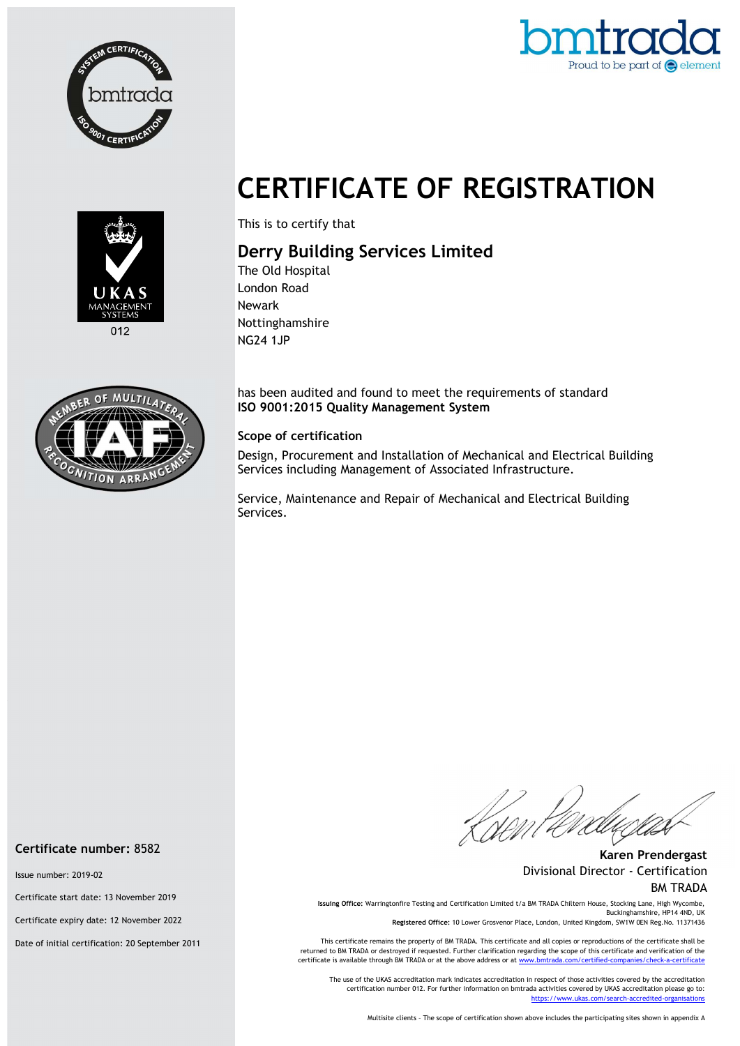



# CERTIFICATE OF REGISTRATION



This is to certify that

## Derry Building Services Limited

The Old Hospital London Road Newark Nottinghamshire NG24 1JP

has been audited and found to meet the requirements of standard ISO 9001:2015 Quality Management System

#### Scope of certification

Design, Procurement and Installation of Mechanical and Electrical Building Services including Management of Associated Infrastructure.

Service, Maintenance and Repair of Mechanical and Electrical Building Services.

Certificate number: 8582

Issue number: 2019-02

Certificate start date: 13 November 2019

Certificate expiry date: 12 November 2022

Date of initial certification: 20 September 2011

Karen Prendergast Divisional Director - Certification BM TRADA

Issuing Office: Warringtonfire Testing and Certification Limited t/a BM TRADA Chiltern House, Stocking Lane, High Wycombe, Buckinghamshire, HP14 4ND, UK

Registered Office: 10 Lower Grosvenor Place, London, United Kingdom, SW1W 0EN Reg.No. 11371436

This certificate remains the property of BM TRADA. This certificate and all copies or reproductions of the certificate shall be returned to BM TRADA or destroyed if requested. Further clarification regarding the scope of this certificate and verification of the certificate is available through BM TRADA or at the above address or at www.bmtrada.com/certified-companies/check-a-certificate

The use of the UKAS accreditation mark indicates accreditation in respect of those activities covered by the accreditation certification number 012. For further information on bmtrada activities covered by UKAS accreditation please go to: https://www.ukas.com/search-accredited-organisations

Multisite clients – The scope of certification shown above includes the participating sites shown in appendix A